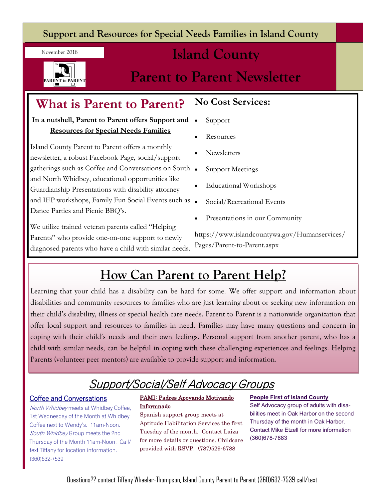#### **Support and Resources for Special Needs Families in Island County**

November 2018



## **Island County**

## **Parent to Parent Newsletter**

### **What is Parent to Parent?**

**In a nutshell, Parent to Parent offers Support and Resources for Special Needs Families**

Island County Parent to Parent offers a monthly newsletter, a robust Facebook Page, social/support gatherings such as Coffee and Conversations on South and North Whidbey, educational opportunities like Guardianship Presentations with disability attorney and IEP workshops, Family Fun Social Events such as . Dance Parties and Picnic BBQ's.

We utilize trained veteran parents called "Helping Parents" who provide one-on-one support to newly diagnosed parents who have a child with similar needs.

#### **No Cost Services:**

- Support
- Resources
- **Newsletters**
- Support Meetings
- Educational Workshops
- Social/Recreational Events
- Presentations in our Community

https://www.islandcountywa.gov/Humanservices/ Pages/Parent-to-Parent.aspx

## **How Can Parent to Parent Help?**

Learning that your child has a disability can be hard for some. We offer support and information about disabilities and community resources to families who are just learning about or seeking new information on their child's disability, illness or special health care needs. Parent to Parent is a nationwide organization that offer local support and resources to families in need. Families may have many questions and concern in coping with their child's needs and their own feelings. Personal support from another parent, who has a child with similar needs, can be helpful in coping with these challenging experiences and feelings. Helping Parents (volunteer peer mentors) are available to provide support and information.

## Support/Social/Self Advocacy Groups

#### Coffee and Conversations

North Whidbey meets at Whidbey Coffee, 1st Wednesday of the Month at Whidbey Coffee next to Wendy's. 11am-Noon. South Whidbey Group meets the 2nd Thursday of the Month 11am-Noon. Call/ text Tiffany for location information. (360)632-7539

#### PAMI: Padres Apoyando Motivando Informnado

Spanish support group meets at Aptitude Habilitation Services the first Tuesday of the month. Contact Laiza for more details or questions. Childcare provided with RSVP. (787)529-6788

#### **People First of Island County**

Self Advocacy group of adults with disabilities meet in Oak Harbor on the second Thursday of the month in Oak Harbor. Contact Mike Etzell for more information (360)678-7883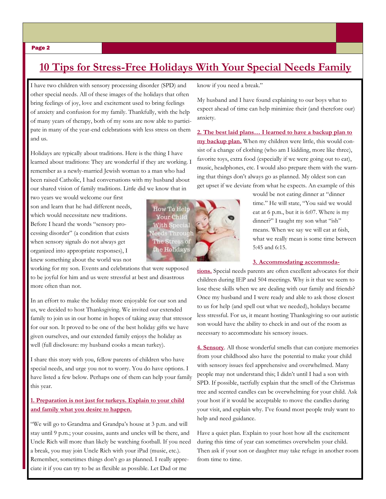#### **10 Tips for Stress-Free Holidays With Your Special Needs Family**

I have two children with sensory processing disorder (SPD) and other special needs. All of these images of the holidays that often bring feelings of joy, love and excitement used to bring feelings of anxiety and confusion for my family. Thankfully, with the help of many years of therapy, both of my sons are now able to participate in many of the year-end celebrations with less stress on them and us.

Holidays are typically about traditions. Here is the thing I have learned about traditions: They are wonderful if they are working. I remember as a newly-married Jewish woman to a man who had been raised Catholic, I had conversations with my husband about our shared vision of family traditions. Little did we know that in

two years we would welcome our first son and learn that he had different needs, which would necessitate new traditions. Before I heard the words "sensory processing disorder" (a condition that exists when sensory signals do not always get organized into appropriate responses), I knew something about the world was not

working for my son. Events and celebrations that were supposed to be joyful for him and us were stressful at best and disastrous more often than not.

In an effort to make the holiday more enjoyable for our son and us, we decided to host Thanksgiving. We invited our extended family to join us in our home in hopes of taking away that stressor for our son. It proved to be one of the best holiday gifts we have given ourselves, and our extended family enjoys the holiday as well (full disclosure: my husband cooks a mean turkey).

I share this story with you, fellow parents of children who have special needs, and urge you not to worry. You do have options. I have listed a few below. Perhaps one of them can help your family this year.

#### **1. Preparation is not just for turkeys. Explain to your child and family what you desire to happen.**

"We will go to Grandma and Grandpa's house at 3 p.m. and will stay until 9 p.m.; your cousins, aunts and uncles will be there, and Uncle Rich will more than likely be watching football. If you need a break, you may join Uncle Rich with your iPad (music, etc.). Remember, sometimes things don't go as planned. I really appreciate it if you can try to be as flexible as possible. Let Dad or me

know if you need a break."

My husband and I have found explaining to our boys what to expect ahead of time can help minimize their (and therefore our) anxiety.

**2. The best laid plans… I learned to have a backup plan to my backup plan.** When my children were little, this would consist of a change of clothing (who am I kidding, more like three), favorite toys, extra food (especially if we were going out to eat), music, headphones, etc. I would also prepare them with the warning that things don't always go as planned. My oldest son can get upset if we deviate from what he expects. An example of this

> would be not eating dinner at "dinner time." He will state, "You said we would eat at 6 p.m., but it is 6:07. Where is my dinner?" I taught my son what "ish" means. When we say we will eat at 6ish, what we really mean is some time between 5:45 and 6:15.

#### **3. Accommodating accommoda-**

**tions.** Special needs parents are often excellent advocates for their children during IEP and 504 meetings. Why is it that we seem to lose these skills when we are dealing with our family and friends? Once my husband and I were ready and able to ask those closest to us for help (and spell out what we needed), holidays became less stressful. For us, it meant hosting Thanksgiving so our autistic son would have the ability to check in and out of the room as necessary to accommodate his sensory issues.

**4. Sensory**. All those wonderful smells that can conjure memories from your childhood also have the potential to make your child with sensory issues feel apprehensive and overwhelmed. Many people may not understand this; I didn't until I had a son with SPD. If possible, tactfully explain that the smell of the Christmas tree and scented candles can be overwhelming for your child. Ask your host if it would be acceptable to move the candles during your visit, and explain why. I've found most people truly want to help and need guidance.

Have a quiet plan. Explain to your host how all the excitement during this time of year can sometimes overwhelm your child. Then ask if your son or daughter may take refuge in another room from time to time.

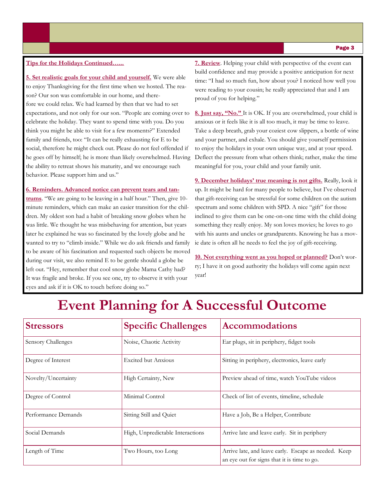#### **10 Tips for the Holidays Continued…...**

**5. Set realistic goals for your child and yourself.** We were able to enjoy Thanksgiving for the first time when we hosted. The reason? Our son was comfortable in our home, and therefore we could relax. We had learned by then that we had to set expectations, and not only for our son. "People are coming over to celebrate the holiday. They want to spend time with you. Do you think you might be able to visit for a few moments?" Extended family and friends, too: "It can be really exhausting for E to be social, therefore he might check out. Please do not feel offended if he goes off by himself; he is more than likely overwhelmed. Having the ability to retreat shows his maturity, and we encourage such behavior. Please support him and us."

#### **6. Reminders. Advanced notice can prevent tears and tan-**

**trums**. "We are going to be leaving in a half hour." Then, give 10 minute reminders, which can make an easier transition for the children. My oldest son had a habit of breaking snow globes when he was little. We thought he was misbehaving for attention, but years later he explained he was so fascinated by the lovely globe and he wanted to try to "climb inside." While we do ask friends and family to be aware of his fascination and requested such objects be moved during our visit, we also remind E to be gentle should a globe be left out. "Hey, remember that cool snow globe Mama Cathy had? It was fragile and broke. If you see one, try to observe it with your eyes and ask if it is OK to touch before doing so."

**7. Review**. Helping your child with perspective of the event can build confidence and may provide a positive anticipation for next time: "I had so much fun, how about you? I noticed how well you were reading to your cousin; he really appreciated that and I am proud of you for helping."

**8. Just say, "No."** It is OK. If you are overwhelmed, your child is anxious or it feels like it is all too much, it may be time to leave. Take a deep breath, grab your coziest cow slippers, a bottle of wine and your partner, and exhale. You should give yourself permission to enjoy the holidays in your own unique way, and at your speed. Deflect the pressure from what others think; rather, make the time meaningful for you, your child and your family unit.

**9. December holidays' true meaning is not gifts.** Really, look it up. It might be hard for many people to believe, but I've observed that gift-receiving can be stressful for some children on the autism spectrum and some children with SPD. A nice "gift" for those inclined to give them can be one-on-one time with the child doing something they really enjoy. My son loves movies; he loves to go with his aunts and uncles or grandparents. Knowing he has a movie date is often all he needs to feel the joy of gift-receiving.

**10. Not everything went as you hoped or planned?** Don't worry; I have it on good authority the holidays will come again next year!

## **Event Planning for A Successful Outcome**

| <b>Stressors</b>    | <b>Specific Challenges</b>       | <b>Accommodations</b>                                                                               |
|---------------------|----------------------------------|-----------------------------------------------------------------------------------------------------|
| Sensory Challenges  | Noise, Chaotic Activity          | Ear plugs, sit in periphery, fidget tools                                                           |
| Degree of Interest  | <b>Excited but Anxious</b>       | Sitting in periphery, electronics, leave early                                                      |
| Novelty/Uncertainty | High Certainty, New              | Preview ahead of time, watch YouTube videos                                                         |
| Degree of Control   | Minimal Control                  | Check of list of events, timeline, schedule                                                         |
| Performance Demands | Sitting Still and Quiet          | Have a Job, Be a Helper, Contribute                                                                 |
| Social Demands      | High, Unpredictable Interactions | Arrive late and leave early. Sit in periphery                                                       |
| Length of Time      | Two Hours, too Long              | Arrive late, and leave early. Escape as needed. Keep<br>an eye out for signs that it is time to go. |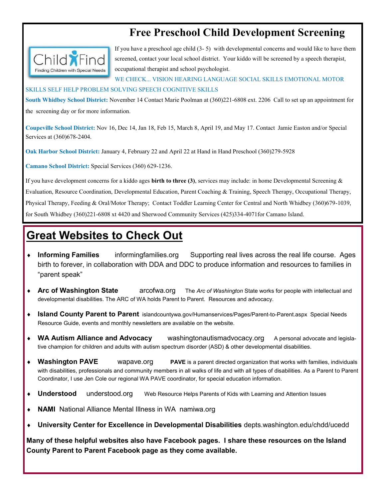#### **Free Preschool Child Development Screening**



If you have a preschool age child (3- 5) with developmental concerns and would like to have them screened, contact your local school district. Your kiddo will be screened by a speech therapist, occupational therapist and school psychologist.

WE CHECK... VISION HEARING LANGUAGE SOCIAL SKILLS EMOTIONAL MOTOR

#### SKILLS SELF HELP PROBLEM SOLVING SPEECH COGNITIVE SKILLS

**South Whidbey School District:** November 14 Contact Marie Poolman at (360)221-6808 ext. 2206 Call to set up an appointment for the screening day or for more information.

**Coupeville School District:** Nov 16, Dec 14, Jan 18, Feb 15, March 8, April 19, and May 17. Contact Jamie Easton and/or Special Services at (360)678-2404.

**Oak Harbor School District:** January 4, February 22 and April 22 at Hand in Hand Preschool (360)279-5928

**Camano School District:** Special Services (360) 629-1236.

If you have development concerns for a kiddo ages **birth to three (3)**, services may include: in home Developmental Screening & Evaluation, Resource Coordination, Developmental Education, Parent Coaching & Training, Speech Therapy, Occupational Therapy, Physical Therapy, Feeding & Oral/Motor Therapy; Contact Toddler Learning Center for Central and North Whidbey (360)679-1039, for South Whidbey (360)221-6808 xt 4420 and Sherwood Community Services (425)334-4071for Camano Island.

#### **Great Websites to Check Out**

- **Informing Families** informingfamilies.org Supporting real lives across the real life course. Ages birth to forever, in collaboration with DDA and DDC to produce information and resources to families in "parent speak"
- **Arc of Washington State** arcofwa.org The *Arc of Washington* State works for people with intellectual and developmental disabilities. The ARC of WA holds Parent to Parent. Resources and advocacy.
- **Island County Parent to Parent** islandcountywa.gov/Humanservices/Pages/Parent-to-Parent.aspx Special Needs Resource Guide, events and monthly newsletters are available on the website.
- **WA Autism Alliance and Advocacy** washingtonautismadvocacy.org A personal advocate and legislative champion for children and adults with autism spectrum disorder (ASD) & other developmental disabilities.
- **Washington PAVE** wapave.org **PAVE** is a parent directed organization that works with families, individuals with disabilities, professionals and community members in all walks of life and with all types of disabilities. As a Parent to Parent Coordinator, I use Jen Cole our regional WA PAVE coordinator, for special education information.
- **Understood** understood.org Web Resource Helps Parents of Kids with Learning and Attention Issues
- **NAMI** National Alliance Mental Illness in WA namiwa.org
- **University Center for Excellence in Developmental Disabilities** depts.washington.edu/chdd/ucedd

**Many of these helpful websites also have Facebook pages. I share these resources on the Island County Parent to Parent Facebook page as they come available.**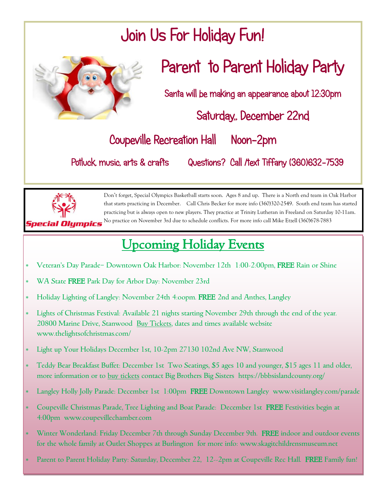# Join Us For Holiday Fun!



## Parent to Parent Holiday Party

Santa will be making an appearance about 12:30pm

Saturday,, December 22nd

## Coupeville Recreation Hall Noon-2pm

Potluck, music, arts & crafts Questions? Call /text Tiffany (360)632-7539



Don't forget, Special Olympics Basketball starts soon. Ages 8 and up. There is a North end team in Oak Harbor that starts practicing in December. Call Chris Becker for more info (360)320-2549. South end team has started practicing but is always open to new players. They practice at Trinity Lutheran in Freeland on Saturday 10-11am. No practice on November 3rd due to schedule conflicts. For more info call Mike Etzell (360)678-7883

## Upcoming Holiday Events

- Veteran's Day Parade– Downtown Oak Harbor: November 12th 1:00-2:00pm, FREE Rain or Shine
- \* WA State FREE Park Day for Arbor Day: November 23rd
- Holiday Lighting of Langley: November 24th 4:oopm. FREE 2nd and Anthes, Langley
- Lights of Christmas Festival: Available 21 nights starting November 29th through the end of the year. 20800 Marine Drive, Stanwood Buy Tickets, dates and times available website www.thelightsofchristmas.com/
- Light up Your Holidays December 1st, 10-2pm 27130 102nd Ave NW, Stanwood
- Teddy Bear Breakfast Buffet: December 1st Two Seatings, \$5 ages 10 and younger, \$15 ages 11 and older, more information or to buy tickets contact Big Brothers Big Sisters https://bbbsislandcounty.org/
- \* Langley Holly Jolly Parade: December 1st 1:00pm FREE Downtown Langley www.visitlangley.com/parade
- Coupeville Christmas Parade, Tree Lighting and Boat Parade: December 1st FREE Festivities begin at 4:00pm www.coupevillechamber.com
- \* Winter Wonderland: Friday December 7th through Sunday December 9th. FREE indoor and outdoor events for the whole family at Outlet Shoppes at Burlington for more info: www.skagitchildrensmuseum.net
- \* Parent to Parent Holiday Party: Saturday, December 22, 12--2pm at Coupeville Rec Hall. FREE Family fun!